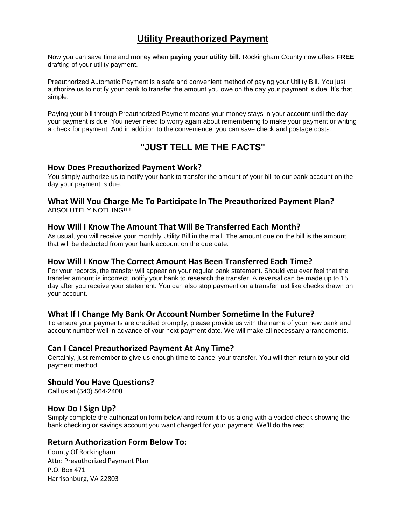# **Utility Preauthorized Payment**

Now you can save time and money when **paying your utility bill**. Rockingham County now offers **FREE** drafting of your utility payment.

Preauthorized Automatic Payment is a safe and convenient method of paying your Utility Bill. You just authorize us to notify your bank to transfer the amount you owe on the day your payment is due. It's that simple.

Paying your bill through Preauthorized Payment means your money stays in your account until the day your payment is due. You never need to worry again about remembering to make your payment or writing a check for payment. And in addition to the convenience, you can save check and postage costs.

# **"JUST TELL ME THE FACTS"**

#### **How Does Preauthorized Payment Work?**

You simply authorize us to notify your bank to transfer the amount of your bill to our bank account on the day your payment is due.

## **What Will You Charge Me To Participate In The Preauthorized Payment Plan?**

ABSOLUTELY NOTHING!!!!

## **How Will I Know The Amount That Will Be Transferred Each Month?**

As usual, you will receive your monthly Utility Bill in the mail. The amount due on the bill is the amount that will be deducted from your bank account on the due date.

#### **How Will I Know The Correct Amount Has Been Transferred Each Time?**

For your records, the transfer will appear on your regular bank statement. Should you ever feel that the transfer amount is incorrect, notify your bank to research the transfer. A reversal can be made up to 15 day after you receive your statement. You can also stop payment on a transfer just like checks drawn on your account.

#### **What If I Change My Bank Or Account Number Sometime In the Future?**

To ensure your payments are credited promptly, please provide us with the name of your new bank and account number well in advance of your next payment date. We will make all necessary arrangements.

#### **Can I Cancel Preauthorized Payment At Any Time?**

Certainly, just remember to give us enough time to cancel your transfer. You will then return to your old payment method.

#### **Should You Have Questions?**

Call us at (540) 564-2408

#### **How Do I Sign Up?**

Simply complete the authorization form below and return it to us along with a voided check showing the bank checking or savings account you want charged for your payment. We'll do the rest.

#### **Return Authorization Form Below To:**

County Of Rockingham Attn: Preauthorized Payment Plan P.O. Box 471 Harrisonburg, VA 22803